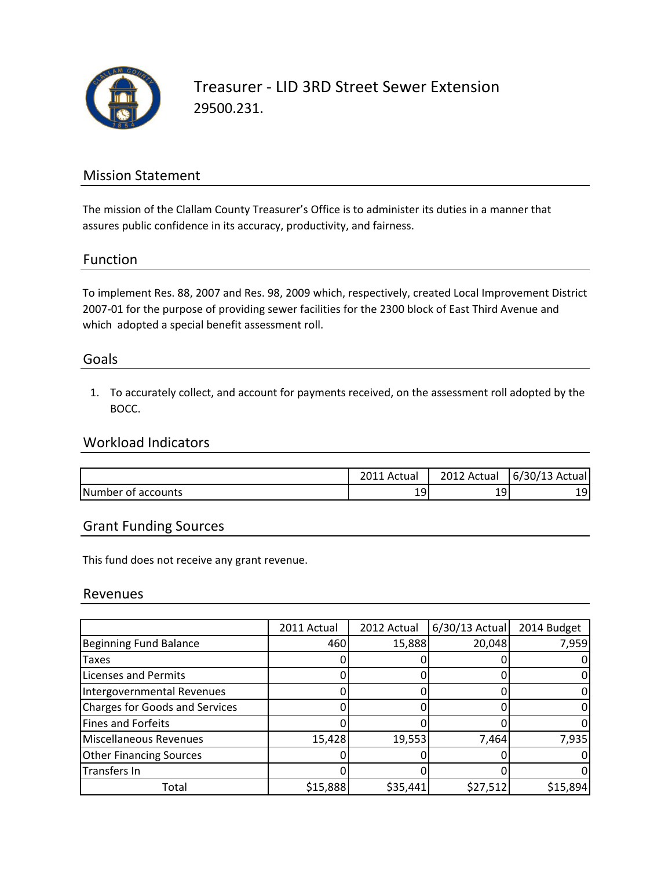

## Mission Statement

The mission of the Clallam County Treasurer's Office is to administer its duties in a manner that assures public confidence in its accuracy, productivity, and fairness.

#### Function

To implement Res. 88, 2007 and Res. 98, 2009 which, respectively, created Local Improvement District 2007-01 for the purpose of providing sewer facilities for the 2300 block of East Third Avenue and which adopted a special benefit assessment roll.

#### Goals

1. To accurately collect, and account for payments received, on the assessment roll adopted by the BOCC.

## Workload Indicators

|                    | . Actual | 2012 Actual | $6/30/13$ Actual |
|--------------------|----------|-------------|------------------|
| Number of accounts | 19       | 191         | ا ۵<br>ᅩ         |

## Grant Funding Sources

This fund does not receive any grant revenue.

#### Revenues

|                                       | 2011 Actual | 2012 Actual | 6/30/13 Actual | 2014 Budget |
|---------------------------------------|-------------|-------------|----------------|-------------|
| <b>Beginning Fund Balance</b>         | 460         | 15,888      | 20,048         | 7,959       |
| Taxes                                 |             |             |                |             |
| <b>Licenses and Permits</b>           |             |             |                |             |
| Intergovernmental Revenues            |             |             |                |             |
| <b>Charges for Goods and Services</b> |             |             |                |             |
| Fines and Forfeits                    |             |             |                |             |
| Miscellaneous Revenues                | 15,428      | 19,553      | 7,464          | 7,935       |
| <b>Other Financing Sources</b>        |             |             |                |             |
| Transfers In                          |             |             |                |             |
| Total                                 | \$15,888    | \$35,441    | \$27,512       | \$15,894    |